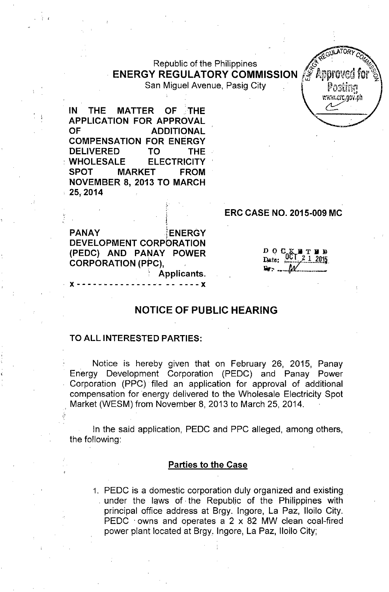# Republic of the Philippines the Section of  $\mathscr{E}$ . **ENERGY REGULATORY COMMISSION**

San Miguel Avenue, Pasig City.

IN THE MATTER OF THE APPLICATION FOR APPROVAL OF ADDITIONAL COMPENSATION FOR ENERGY DELIVERED TO THE : WHOLESALE ELECTRICITY SPOT MARKET FROM NOVEMBER 8, 2013 TO MARCH . 25,2014

> !," I j 1

*; 1*

#### ERC CASE NO. 2015-009 MC

, PANAY **ENERGY** DEVELOPMENT CORPORATION (PEDC) AND PANAY POWER CORPORATION (PPC), : Applicants.

 $D$   $O$   $C$ Date:

 $250$ UMIURY  $c \rightarrow$ 

\~'Y "it gO" ph ~~ ~,i

## NOTICE OF PUBLIC HEARING

.<br>-- ----**- x** 

#### TO ALL INTERESTED PARTIES:

Notice is hereby given that on February 26, 2015, Panay Energy Development Corporation (PEDC) and Panay Power Corporation (PPC) filed an application for approval of additional compensation for energy delivered to the Wholesale Electricity Spot Market (WESM) from November 8, 2013 to March 25, 2014.

In the said application, PEDC and PPC alleged, among others, the following:

#### Parties to the Case

1. PEDC is a domestic corporation duly organized and existing . under the laws of. the Republic of the Philippines with principal office address at Brgy. Ingore, La Paz, Iloilo City. PEDC  $\cdot$  owns and operates a 2 x 82 MW clean coal-fired power plant located at Brgy. Ingore, La Paz, Iloilo City;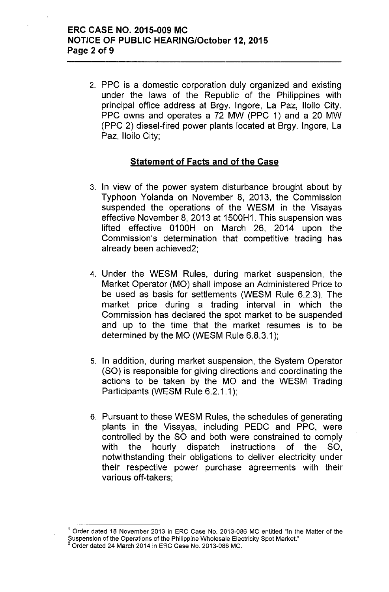2. PPC is a domestic corporation duly organized and existing under the laws of the Republic of the Philippines with principal office address at Brgy. Ingore, La Paz, Iloilo City. PPC owns and operates a 72 MW (PPC 1) and a 20 MW (PPC 2) diesel-fired power plants located at Brgy. Ingore, La Paz, Iloilo City;

#### Statement of Facts and of the Case

- 3. In view of the power system disturbance brought about by Typhoon Yolanda on November 8, 2013, the Commission suspended the operations of the WESM in the Visayas effective November 8, 2013 at 1500H1. This suspension was lifted effective 0100H on March 26, 2014 upon the Commission's determination that competitive trading has already been achieved2;
- 4. Under the WESM Rules, during market suspension, the Market Operator (MO) shall impose an Administered Price to be used as basis for settlements (WESM Rule 6.2.3). The market price during a trading interval in which the Commission has declared the spot market to be suspended and up to the time that the market resumes is to be determined by the MO (WESM Rule 6.8.3.1);
- 5. In addition, during market suspension, the System Operator (SO) is responsible for giving directions and coordinating the actions to be taken by the MO and the WESM Trading Participants (WESM Rule 6.2.1.1 );
- 6. Pursuant to these WESM Rules, the schedules of generating plants in the Visayas, including PEDC and PPC, were controlled by the SO and both were constrained to comply with the hourly dispatch instructions of the SO, notwithstanding their obligations to deliver electricity under their respective power purchase agreements with their various off-takers;

<sup>&</sup>lt;sup>1</sup> Order dated 18 November 2013 in ERC Case No. 2013-086 MC entitled "In the Matter of the Suspension of the Operations of the Philippine Wholesale Electricity Spot Markel."

<sup>2</sup> Order dated 24 March 2014 in ERC Case No. 2013-086 MC.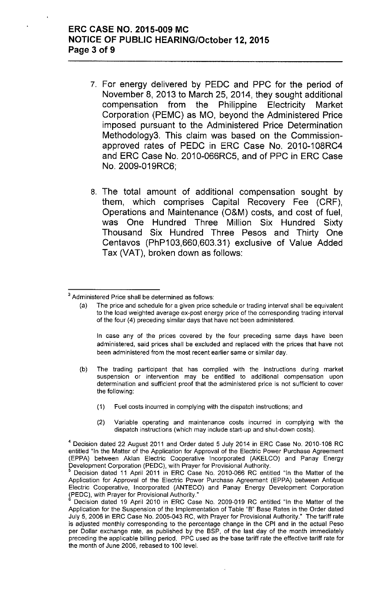#### **ERC CASE NO. 2015-009 MC NOTICE OF PUBLIC HEARING/October 12, 2015 Page 3 of9**

- 7. For energy delivered by PEDC and PPC for the period of November 8,2013 to March 25,2014, they sought additional compensation from the Philippine Electricity Market Corporation (PEMC) as MO, beyond the Administered Price imposed pursuant to the Administered Price Determination Methodology3. This claim was based on the Commissionapproved rates of PEDC in ERC Case No. 2010-108RC4 and ERC Case No. 2010-066RC5, and of PPC in ERC Case NO.2009-019RC6;
- 8. The total amount of additional compensation sought by them, which comprises Capital Recovery Fee (CRF), Operations and Maintenance (O&M) costs, and cost of fuel, was One Hundred Three Million Six Hundred Sixty Thousand Six Hundred Three Pesos and Thirty One Centavos (PhP103,660,603.31) exclusive of Value Added Tax (VAT), broken down as follows:

The price and schedule for a given price schedule or trading interval shall be equivalent to the load weighted average ex-post energy price of the corresponding trading interval of the four (4) preceding similar days that have not been administered.

In case any of the prices covered by the four preceding same days have been administered, said prices shall be excluded and replaced with the prices that have not been administered from the most recent earlier same or similar day.

- (b) The trading participant that has complied with the instructions during market suspension or intervention may be entitled to additional compensation upon determination and sufficient proof that the administered price is not sufficient to cover the following:
	- (1) Fuel costs incurred in complying with the dispatch instructions; and
	- (2) Variable operating and maintenance costs incurred in complying with the dispatch instructions (which may include start-up and shut-down costs).

<sup>3</sup> Administered Price shall be determined as follows:

<sup>4</sup> Decision dated 22 August 2011 and Order dated 5 July 2014 in ERC Case No. 2010-108 RC entitled "In the Matter of the Application for Approval of the Electric Power Purchase Agreement (EPPA) between Aklan Electric Cooperative Incorporated (AKELCO) and Panay Energy Development Corporation (PEDC), with Prayer for Provisional Authority.

<sup>5</sup> Decision dated 11 April 2011 in ERC Case No. 2010-066 RC entitled "In the Matter of the Application for Approval of the Electric Power Purchase Agreement (EPPA) between Antique Electric Cooperative, Incorporated (ANTECO) and Panay Energy Development Corporation ~PEDC), with Prayer for Provisional Authority."

Decision dated 19 April 2010 in ERC Case No. 2009-019 RC entitled "In the Malter of the Application for the Suspension of the Implementation of Table "B" Base Rates in the Order dated July 5, 2006 in ERC Case No. 2005-043 RC, with Prayer for Provisional Authority." The tariff rate is adjusted monthly corresponding to the percentage change in the CPI and in the actual Peso per Dollar exchange rate, as published by the BSP, of the last day of the month immediately preceding the applicable billing period. PPC used as the base tariff rate the effective tariff rate for the month of June 2006, rebased to 100 level.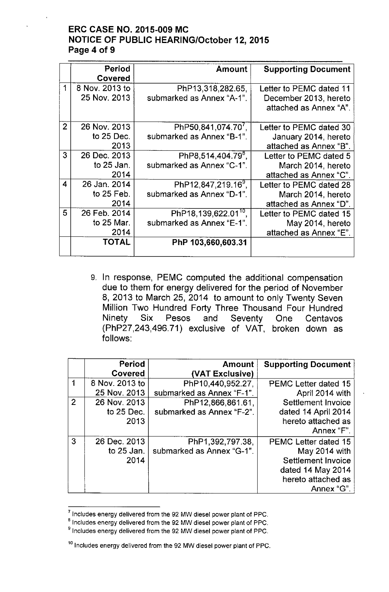## ERC CASE NO. 2015-009 MC NOTICE OF PUBLIC HEARING/October 12, 2015 Page 4 of 9

|                  | Period         | <b>Amount</b>                    | <b>Supporting Document</b> |
|------------------|----------------|----------------------------------|----------------------------|
|                  | Covered        |                                  |                            |
| 1                | 8 Nov. 2013 to | PhP13,318,282.65,                | Letter to PEMC dated 11    |
|                  | 25 Nov. 2013   | submarked as Annex "A-1".        | December 2013, hereto      |
|                  |                |                                  | attached as Annex "A".     |
| $\overline{2}$   |                |                                  |                            |
|                  | 26 Nov. 2013   | PhP50,841,074.70',               | Letter to PEMC dated 30    |
|                  | to 25 Dec.     | submarked as Annex "B-1".        | January 2014, hereto       |
|                  | 2013           |                                  | attached as Annex "B".     |
| 3                | 26 Dec. 2013   | PhP8,514,404.79 <sup>8</sup> .   | Letter to PEMC dated 5     |
|                  | to 25 Jan.     | submarked as Annex "C-1".        | March 2014, hereto         |
|                  | 2014           |                                  | attached as Annex "C".     |
| $\boldsymbol{4}$ | 26 Jan. 2014   | PhP12,847,219.16 <sup>9</sup> ,  | Letter to PEMC dated 28    |
|                  | to $25$ Feb.   | submarked as Annex "D-1".        | March 2014, hereto         |
|                  | 2014           |                                  | attached as Annex "D".     |
| 5                | 26 Feb. 2014   | PhP18,139,622.01 <sup>10</sup> , | Letter to PEMC dated 15    |
|                  | to 25 Mar.     | submarked as Annex "E-1".        | May 2014, hereto           |
|                  | 2014           |                                  | attached as Annex "E".     |
|                  | <b>TOTAL</b>   | PhP 103,660,603.31               |                            |
|                  |                |                                  |                            |

9. In response, PEMC computed the additional compensation due to them for energy delivered for the period of November 8, 2013 to March 25, 2014 to amount to only Twenty Seven Million Two Hundred Forty Three Thousand Four Hundred Ninety Six Pesos and Seventy One Centavos (PhP27,243,496.71) exclusive of VAT, broken down as follows:

|                | Period         | <b>Amount</b>             | <b>Supporting Document</b>  |
|----------------|----------------|---------------------------|-----------------------------|
|                | <b>Covered</b> | (VAT Exclusive)           |                             |
|                | 8 Nov. 2013 to | PhP10.440,952.27,         | PEMC Letter dated 15        |
|                | 25 Nov. 2013   | submarked as Annex "F-1". | April 2014 with             |
| $\overline{2}$ | 26 Nov. 2013   | PhP12,866,861.61,         | Settlement Invoice          |
|                | to 25 Dec.     | submarked as Annex "F-2". | dated 14 April 2014         |
|                | 2013           |                           | hereto attached as          |
|                |                |                           | Annex "F".                  |
| 3              | 26 Dec. 2013   | PhP1,392,797.38,          | <b>PEMC Letter dated 15</b> |
|                | to $25$ Jan.   | submarked as Annex "G-1". | May 2014 with               |
|                | 2014           |                           | Settlement Invoice          |
|                |                |                           | dated 14 May 2014           |
|                |                |                           | hereto attached as          |
|                |                |                           | Annex "G".                  |

<sup>7</sup> Includes energy delivered from the 92 MW diesel power plant of PPC.

<sup>8</sup> Includes energy delivered from the 92 MW diesel power plant of PPC.

<sup>9</sup> Includes energy delivered from the 92 MW diesel power plant of PPC.

<sup>&</sup>lt;sup>10</sup> Includes energy delivered from the 92 MW diesel power plant of PPC.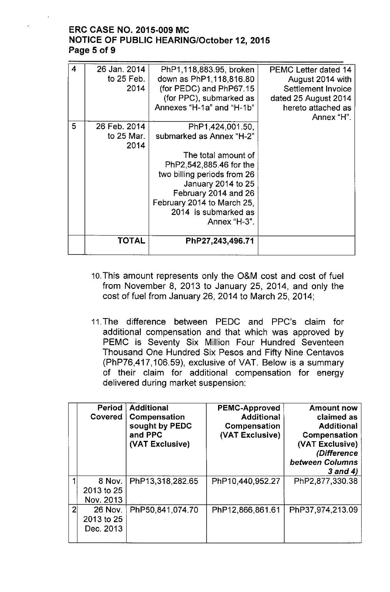## ERC CASE NO. 2015-009 MC NOTICE OF PUBLIC HEARING/October 12,2015 Page 5 of 9

| 4 | 26 Jan. 2014<br>to $25$ Feb.<br>2014 | PhP1,118,883.95, broken<br>down as PhP1,118,816.80<br>(for PEDC) and PhP67.15<br>(for PPC), submarked as<br>Annexes "H-1a" and "H-1b"                                                                                                             | <b>PEMC Letter dated 14</b><br>August 2014 with<br>Settlement Invoice<br>dated 25 August 2014<br>hereto attached as<br>Annex "H". |
|---|--------------------------------------|---------------------------------------------------------------------------------------------------------------------------------------------------------------------------------------------------------------------------------------------------|-----------------------------------------------------------------------------------------------------------------------------------|
| 5 | 26 Feb. 2014<br>to $25$ Mar.<br>2014 | PhP1,424,001.50,<br>submarked as Annex "H-2"<br>The total amount of<br>PhP2,542,885.46 for the<br>two billing periods from 26<br>January 2014 to 25<br>February 2014 and 26<br>February 2014 to March 25,<br>2014 is submarked as<br>Annex "H-3". |                                                                                                                                   |
|   | TOTAL                                | PhP27,243,496.71                                                                                                                                                                                                                                  |                                                                                                                                   |

- 10.This amount represents only the O&M cost and cost of fuel from November 8, 2013 to January 25, 2014, and only the cost of fuel from January 26, 2014 to March 25, 2014;
- 11.The difference between PEDC and PPC's claim for additional compensation and that which was approved by PEMC is Seventy Six Million Four Hundred Seventeen Thousand One Hundred Six Pesos and Fifty Nine Centavos (PhP76,417,106.59), exclusive of VAT. Below is a summary of their claim for additional compensation for energy delivered during market suspension:

|                | Period         | <b>Additional</b>   | <b>PEMC-Approved</b> | <b>Amount now</b>      |
|----------------|----------------|---------------------|----------------------|------------------------|
|                | Covered        | <b>Compensation</b> | <b>Additional</b>    | claimed as             |
|                |                | sought by PEDC      | Compensation         | <b>Additional</b>      |
|                |                | and PPC             | (VAT Exclusive)      | Compensation           |
|                |                | (VAT Exclusive)     |                      | (VAT Exclusive)        |
|                |                |                     |                      | (Difference            |
|                |                |                     |                      | <b>between Columns</b> |
|                |                |                     |                      | $3$ and $4)$           |
|                | 8 Nov.         | PhP13,318,282.65    | PhP10,440,952.27     | PhP2,877,330.38        |
|                | 2013 to 25     |                     |                      |                        |
|                | Nov. 2013      |                     |                      |                        |
| $\overline{2}$ | <b>26 Nov.</b> | PhP50,841,074.70    | PhP12,866,861.61     | PhP37,974,213.09       |
|                | 2013 to 25     |                     |                      |                        |
|                | Dec. 2013      |                     |                      |                        |
|                |                |                     |                      |                        |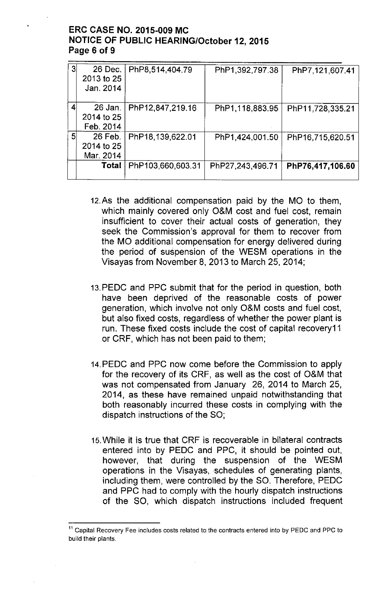#### **ERC CASE NO. 2015-009 MC NOTICE OF PUBLIC HEARING/October 12, 2015 Page 6 of 9**

| 3 | 26 Dec.<br>2013 to 25<br>Jan. 2014 | PhP8,514,404.79   | PhP1,392,797.38  | PhP7,121,607.41    |
|---|------------------------------------|-------------------|------------------|--------------------|
|   | 26 Jan.<br>2014 to 25<br>Feb. 2014 | PhP12,847,219.16  | PhP1,118,883.95  | PhP11, 728, 335.21 |
| 5 | 26 Feb.<br>2014 to 25<br>Mar. 2014 | PhP18,139,622.01  | PhP1,424,001.50  | PhP16,715,620.51   |
|   | <b>Total</b>                       | PhP103,660,603.31 | PhP27,243,496.71 | PhP76,417,106.60   |

- 12.As the additional compensation paid by the MO to them, which mainly covered only O&M cost and fuel cost, remain insufficient to cover their actual costs of generation, they seek the Commission's approval for them to recover from the MO additional compensation for energy delivered during the period of suspension of the WESM operations in the Visayas from November 8,2013 to March 25, 2014;
- 13.PEDC and PPC submit that for the period in question, both have been deprived of the reasonable costs of power generation, which involve not only O&M costs and fuel cost, but also fixed costs, regardless of whether the power plant is run. These fixed costs include the cost of capital recovery11 or CRF, which has not been paid to them;
- 14.PEDC and PPC now come before the Commission to apply for the recovery of its CRF, as well as the cost of O&M that was not compensated from January 26, 2014 to March 25, 2014, as these have remained unpaid notwithstanding that both reasonably incurred these costs in complying with the dispatch instructions of the SO;
- 15.While it is true that CRF is recoverable in bilateral contracts entered into by PEDC and PPC, it should be pointed out, however, that during the suspension of the WESM operations in the Visayas, schedules of generating plants, including them, were controlled by the SO. Therefore, PEDC and PPC had to comply with the hourly dispatch instructions of the SO, which dispatch instructions included frequent

<sup>&</sup>lt;sup>11</sup> Capital Recovery Fee includes costs related to the contracts entered into by PEDC and PPC to build their plants.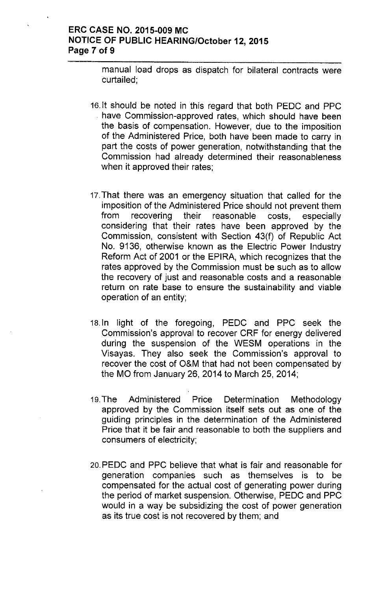#### **ERC CASE NO. 2015-009 MC NOTICE OF PUBLIC HEARING/October 12,2015 Page 7 of 9**

manual load drops as dispatch for bilateral contracts were curtailed;

- 16.lt should be noted in this regard that both PEDC and PPC . have Commission-approved rates, which should have been the basis of compensation. However, due to the imposition of the Administered Price, both have been made to carry in part the costs of power generation, notwithstanding that the Commission had already determined their reasonableness when it approved their rates;
- 17.That there was an emergency situation that called for the imposition of the Administered Price should not prevent them from recovering their reasonable costs, especially considering that their rates have been approved by the Commission, consistent with Section 43(f) of Republic Act No. 9136, otherwise known as the Electric Power Industry Reform Act of 2001 or the EPIRA, which recognizes that the rates approved by the Commission must be such as to allow the recovery of just and reasonable costs and a reasonable return on rate base to ensure the sustainability and viable operation of an entity;
- 18.ln light of the foregoing, PEDC and PPC seek the Commission's approval to recover CRF for energy delivered during the suspension of the WESM operations in the Visayas. They also seek the Commission's approval to recover the cost of O&M that had not been compensated by the MO from January 26, 2014 to March 25, 2014;
- 19.The Administered Price Determination Methodology approved by the Commission itself sets out as one of the guiding principles in the determination of the Administered Price that it be fair and reasonable to both the suppliers and consumers of electricity;
- 20. PEDC and PPC believe that what is fair and reasonable for generation companies such as themselves is to be compensated for the actual cost of generating power during the period of market suspension. Otherwise, PEDC and PPC would in a way be subsidizing the cost of power generation as its true cost is not recovered by them; and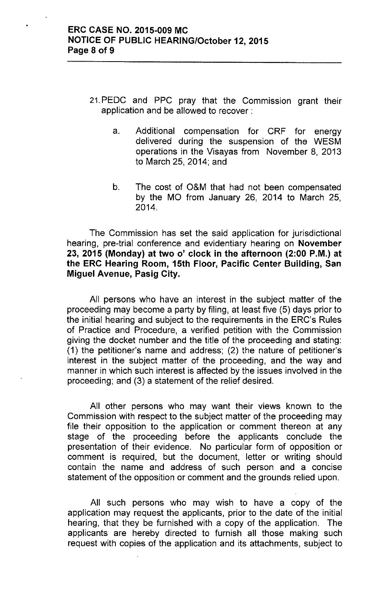- 21.PEDC and PPC pray that the Commission grant their application and be allowed to recover:
	- a. Additional compensation for CRF for energy delivered during the suspension of the WESM operations in the Visayas from November 8, 2013 to March 25, 2014; and
	- b. The cost of O&M that had not been compensated by the MO from January 26, 2014 to March 25, 2014.

The Commission has set the said application for jurisdictional hearing, pre-trial conference and evidentiary hearing on November 23, 2015 (Monday) at two 0' clock in the afternoon (2:00 P.M.) at the ERC Hearing Room, 15th Floor, Pacific Center Building, San Miguel Avenue, Pasig City.

All persons who have an interest in the subject matter of the proceeding may become a party by filing, at least five (5) days prior to the initial hearing and subject to the requirements in the ERC's Rules of Practice and Procedure, a verified petition with the Commission giving the docket number and the title of the proceeding and stating: (1) the petitioner's name and address; (2) the nature of petitioner's interest in the subject matter of the proceeding, and the way and manner in which such interest is affected by the issues involved in the proceeding; and (3) a statement of the relief desired.

All other persons who may want their views known to the Commission with respect to the subject matter of the proceeding may file their opposition to the application or comment thereon at any stage of the proceeding before the applicants conclude the presentation of their evidence. No particular form of opposition or comment is required, but the document, letter or writing should contain the name and address of such person and a concise statement of the opposition or comment and the grounds relied upon.

All such persons who may wish to have a copy of the application may request the applicants, prior to the date of the initial hearing, that they be furnished with a copy of the application. The applicants are hereby directed to furnish all those making such request with copies of the application and its attachments, subject to